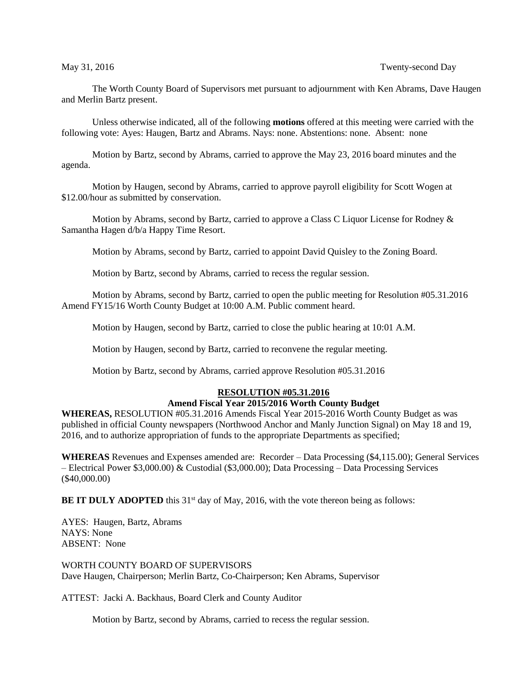The Worth County Board of Supervisors met pursuant to adjournment with Ken Abrams, Dave Haugen and Merlin Bartz present.

Unless otherwise indicated, all of the following **motions** offered at this meeting were carried with the following vote: Ayes: Haugen, Bartz and Abrams. Nays: none. Abstentions: none. Absent: none

Motion by Bartz, second by Abrams, carried to approve the May 23, 2016 board minutes and the agenda.

Motion by Haugen, second by Abrams, carried to approve payroll eligibility for Scott Wogen at \$12.00/hour as submitted by conservation.

Motion by Abrams, second by Bartz, carried to approve a Class C Liquor License for Rodney  $\&$ Samantha Hagen d/b/a Happy Time Resort.

Motion by Abrams, second by Bartz, carried to appoint David Quisley to the Zoning Board.

Motion by Bartz, second by Abrams, carried to recess the regular session.

Motion by Abrams, second by Bartz, carried to open the public meeting for Resolution #05.31.2016 Amend FY15/16 Worth County Budget at 10:00 A.M. Public comment heard.

Motion by Haugen, second by Bartz, carried to close the public hearing at 10:01 A.M.

Motion by Haugen, second by Bartz, carried to reconvene the regular meeting.

Motion by Bartz, second by Abrams, carried approve Resolution #05.31.2016

## **RESOLUTION #05.31.2016**

## **Amend Fiscal Year 2015/2016 Worth County Budget**

**WHEREAS,** RESOLUTION #05.31.2016 Amends Fiscal Year 2015-2016 Worth County Budget as was published in official County newspapers (Northwood Anchor and Manly Junction Signal) on May 18 and 19, 2016, and to authorize appropriation of funds to the appropriate Departments as specified;

**WHEREAS** Revenues and Expenses amended are: Recorder – Data Processing (\$4,115.00); General Services – Electrical Power \$3,000.00) & Custodial (\$3,000.00); Data Processing – Data Processing Services (\$40,000.00)

**BE IT DULY ADOPTED** this 31<sup>st</sup> day of May, 2016, with the vote thereon being as follows:

AYES: Haugen, Bartz, Abrams NAYS: None ABSENT: None

WORTH COUNTY BOARD OF SUPERVISORS Dave Haugen, Chairperson; Merlin Bartz, Co-Chairperson; Ken Abrams, Supervisor

ATTEST: Jacki A. Backhaus, Board Clerk and County Auditor

Motion by Bartz, second by Abrams, carried to recess the regular session.